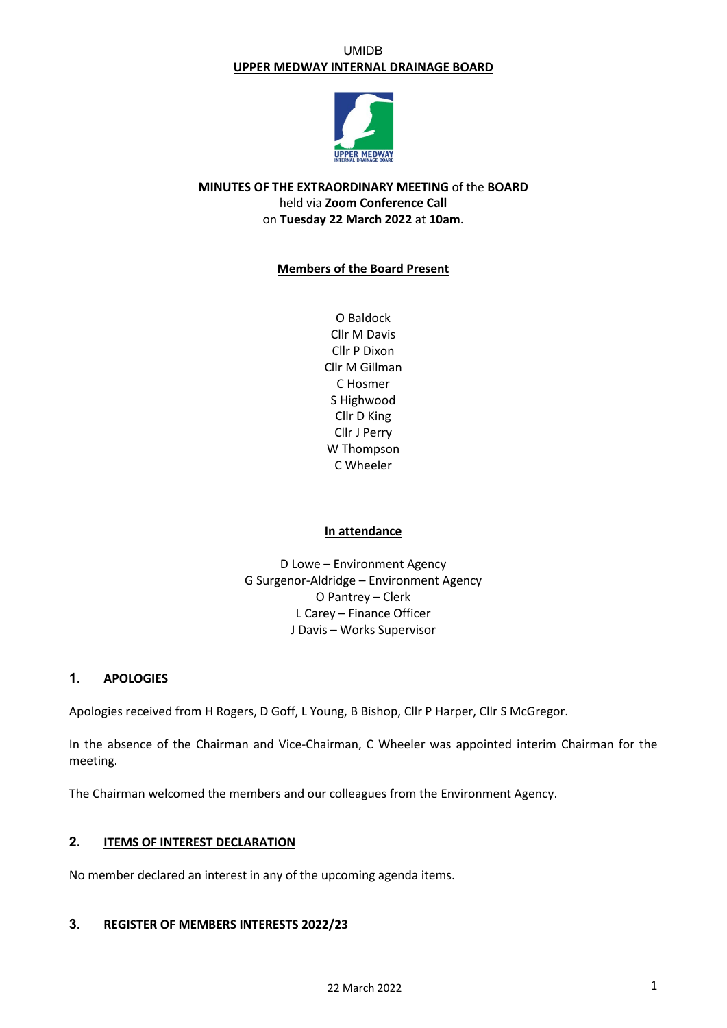### UMIDB **UPPER MEDWAY INTERNAL DRAINAGE BOARD**



# **MINUTES OF THE EXTRAORDINARY MEETING** of the **BOARD** held via **Zoom Conference Call** on **Tuesday 22 March 2022** at **10am**.

## **Members of the Board Present**

O Baldock Cllr M Davis Cllr P Dixon Cllr M Gillman C Hosmer S Highwood Cllr D King Cllr J Perry W Thompson C Wheeler

### **In attendance**

D Lowe – Environment Agency G Surgenor-Aldridge – Environment Agency O Pantrey – Clerk L Carey – Finance Officer J Davis – Works Supervisor

## **1. APOLOGIES**

Apologies received from H Rogers, D Goff, L Young, B Bishop, Cllr P Harper, Cllr S McGregor.

In the absence of the Chairman and Vice-Chairman, C Wheeler was appointed interim Chairman for the meeting.

The Chairman welcomed the members and our colleagues from the Environment Agency.

# **2. ITEMS OF INTEREST DECLARATION**

No member declared an interest in any of the upcoming agenda items.

## **3. REGISTER OF MEMBERS INTERESTS 2022/23**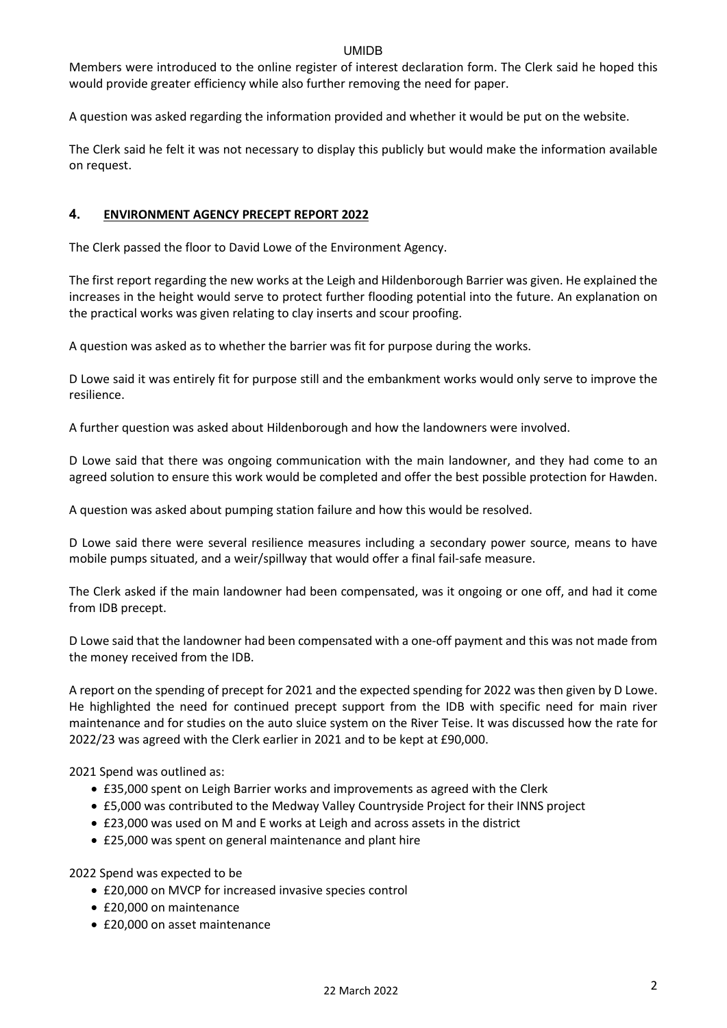Members were introduced to the online register of interest declaration form. The Clerk said he hoped this would provide greater efficiency while also further removing the need for paper.

A question was asked regarding the information provided and whether it would be put on the website.

The Clerk said he felt it was not necessary to display this publicly but would make the information available on request.

## **4. ENVIRONMENT AGENCY PRECEPT REPORT 2022**

The Clerk passed the floor to David Lowe of the Environment Agency.

The first report regarding the new works at the Leigh and Hildenborough Barrier was given. He explained the increases in the height would serve to protect further flooding potential into the future. An explanation on the practical works was given relating to clay inserts and scour proofing.

A question was asked as to whether the barrier was fit for purpose during the works.

D Lowe said it was entirely fit for purpose still and the embankment works would only serve to improve the resilience.

A further question was asked about Hildenborough and how the landowners were involved.

D Lowe said that there was ongoing communication with the main landowner, and they had come to an agreed solution to ensure this work would be completed and offer the best possible protection for Hawden.

A question was asked about pumping station failure and how this would be resolved.

D Lowe said there were several resilience measures including a secondary power source, means to have mobile pumps situated, and a weir/spillway that would offer a final fail-safe measure.

The Clerk asked if the main landowner had been compensated, was it ongoing or one off, and had it come from IDB precept.

D Lowe said that the landowner had been compensated with a one-off payment and this was not made from the money received from the IDB.

A report on the spending of precept for 2021 and the expected spending for 2022 was then given by D Lowe. He highlighted the need for continued precept support from the IDB with specific need for main river maintenance and for studies on the auto sluice system on the River Teise. It was discussed how the rate for 2022/23 was agreed with the Clerk earlier in 2021 and to be kept at £90,000.

2021 Spend was outlined as:

- £35,000 spent on Leigh Barrier works and improvements as agreed with the Clerk
- £5,000 was contributed to the Medway Valley Countryside Project for their INNS project
- £23,000 was used on M and E works at Leigh and across assets in the district
- £25,000 was spent on general maintenance and plant hire

2022 Spend was expected to be

- £20,000 on MVCP for increased invasive species control
- £20,000 on maintenance
- £20,000 on asset maintenance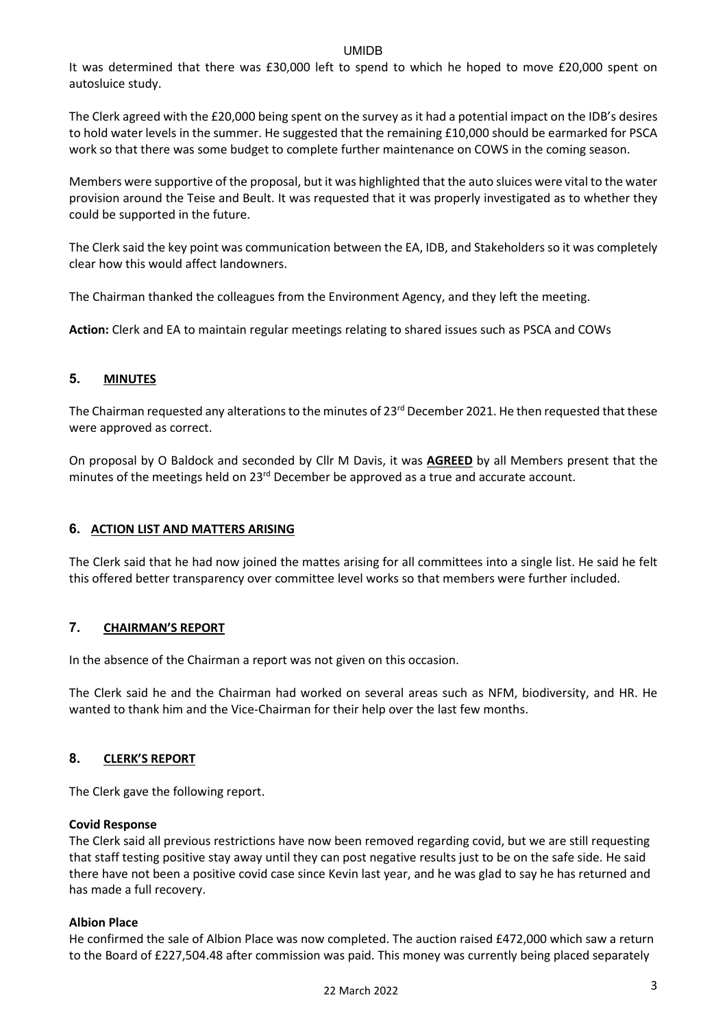It was determined that there was £30,000 left to spend to which he hoped to move £20,000 spent on autosluice study.

The Clerk agreed with the £20,000 being spent on the survey as it had a potential impact on the IDB's desires to hold water levels in the summer. He suggested that the remaining £10,000 should be earmarked for PSCA work so that there was some budget to complete further maintenance on COWS in the coming season.

Members were supportive of the proposal, but it was highlighted that the auto sluices were vital to the water provision around the Teise and Beult. It was requested that it was properly investigated as to whether they could be supported in the future.

The Clerk said the key point was communication between the EA, IDB, and Stakeholders so it was completely clear how this would affect landowners.

The Chairman thanked the colleagues from the Environment Agency, and they left the meeting.

**Action:** Clerk and EA to maintain regular meetings relating to shared issues such as PSCA and COWs

# **5. MINUTES**

The Chairman requested any alterations to the minutes of  $23<sup>rd</sup>$  December 2021. He then requested that these were approved as correct.

On proposal by O Baldock and seconded by Cllr M Davis, it was **AGREED** by all Members present that the minutes of the meetings held on 23<sup>rd</sup> December be approved as a true and accurate account.

# **6. ACTION LIST AND MATTERS ARISING**

The Clerk said that he had now joined the mattes arising for all committees into a single list. He said he felt this offered better transparency over committee level works so that members were further included.

# **7. CHAIRMAN'S REPORT**

In the absence of the Chairman a report was not given on this occasion.

The Clerk said he and the Chairman had worked on several areas such as NFM, biodiversity, and HR. He wanted to thank him and the Vice-Chairman for their help over the last few months.

# **8. CLERK'S REPORT**

The Clerk gave the following report.

### **Covid Response**

The Clerk said all previous restrictions have now been removed regarding covid, but we are still requesting that staff testing positive stay away until they can post negative results just to be on the safe side. He said there have not been a positive covid case since Kevin last year, and he was glad to say he has returned and has made a full recovery.

### **Albion Place**

He confirmed the sale of Albion Place was now completed. The auction raised £472,000 which saw a return to the Board of £227,504.48 after commission was paid. This money was currently being placed separately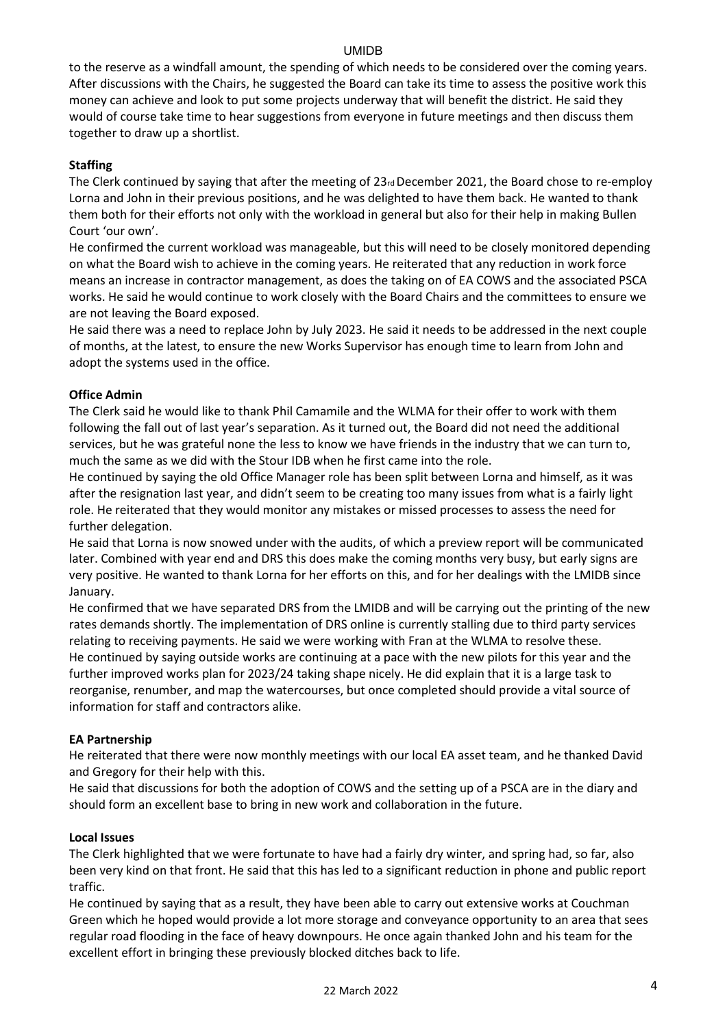to the reserve as a windfall amount, the spending of which needs to be considered over the coming years. After discussions with the Chairs, he suggested the Board can take its time to assess the positive work this money can achieve and look to put some projects underway that will benefit the district. He said they would of course take time to hear suggestions from everyone in future meetings and then discuss them together to draw up a shortlist.

## **Staffing**

The Clerk continued by saying that after the meeting of 23rd December 2021, the Board chose to re-employ Lorna and John in their previous positions, and he was delighted to have them back. He wanted to thank them both for their efforts not only with the workload in general but also for their help in making Bullen Court 'our own'.

He confirmed the current workload was manageable, but this will need to be closely monitored depending on what the Board wish to achieve in the coming years. He reiterated that any reduction in work force means an increase in contractor management, as does the taking on of EA COWS and the associated PSCA works. He said he would continue to work closely with the Board Chairs and the committees to ensure we are not leaving the Board exposed.

He said there was a need to replace John by July 2023. He said it needs to be addressed in the next couple of months, at the latest, to ensure the new Works Supervisor has enough time to learn from John and adopt the systems used in the office.

## **Office Admin**

The Clerk said he would like to thank Phil Camamile and the WLMA for their offer to work with them following the fall out of last year's separation. As it turned out, the Board did not need the additional services, but he was grateful none the less to know we have friends in the industry that we can turn to, much the same as we did with the Stour IDB when he first came into the role.

He continued by saying the old Office Manager role has been split between Lorna and himself, as it was after the resignation last year, and didn't seem to be creating too many issues from what is a fairly light role. He reiterated that they would monitor any mistakes or missed processes to assess the need for further delegation.

He said that Lorna is now snowed under with the audits, of which a preview report will be communicated later. Combined with year end and DRS this does make the coming months very busy, but early signs are very positive. He wanted to thank Lorna for her efforts on this, and for her dealings with the LMIDB since January.

He confirmed that we have separated DRS from the LMIDB and will be carrying out the printing of the new rates demands shortly. The implementation of DRS online is currently stalling due to third party services relating to receiving payments. He said we were working with Fran at the WLMA to resolve these. He continued by saying outside works are continuing at a pace with the new pilots for this year and the further improved works plan for 2023/24 taking shape nicely. He did explain that it is a large task to reorganise, renumber, and map the watercourses, but once completed should provide a vital source of information for staff and contractors alike.

### **EA Partnership**

He reiterated that there were now monthly meetings with our local EA asset team, and he thanked David and Gregory for their help with this.

He said that discussions for both the adoption of COWS and the setting up of a PSCA are in the diary and should form an excellent base to bring in new work and collaboration in the future.

### **Local Issues**

The Clerk highlighted that we were fortunate to have had a fairly dry winter, and spring had, so far, also been very kind on that front. He said that this has led to a significant reduction in phone and public report traffic.

He continued by saying that as a result, they have been able to carry out extensive works at Couchman Green which he hoped would provide a lot more storage and conveyance opportunity to an area that sees regular road flooding in the face of heavy downpours. He once again thanked John and his team for the excellent effort in bringing these previously blocked ditches back to life.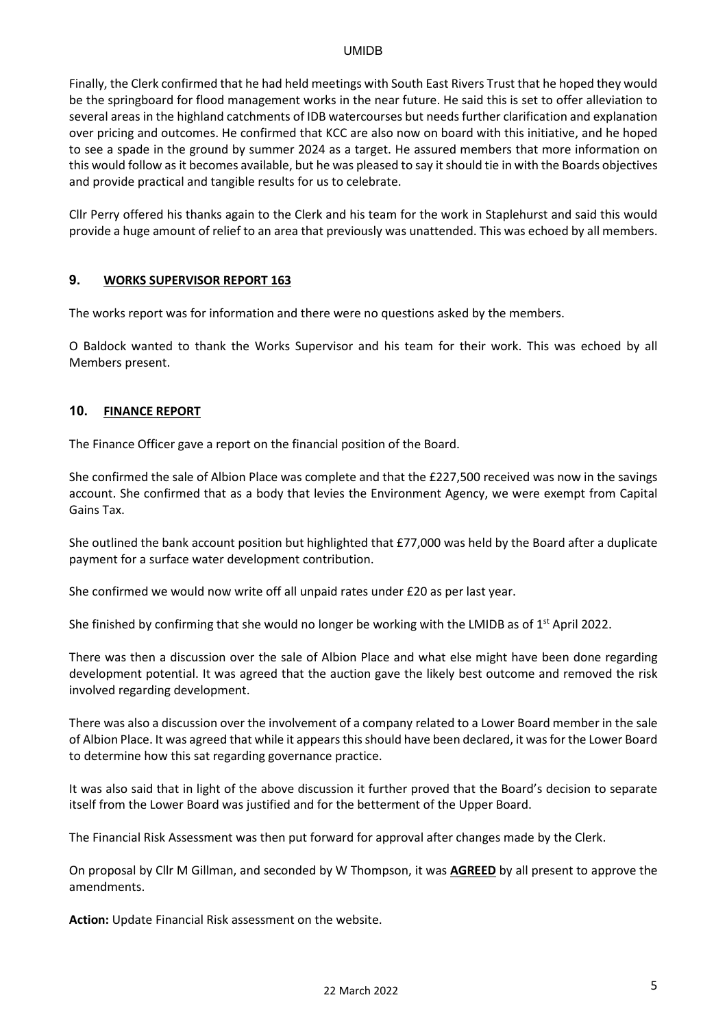Finally, the Clerk confirmed that he had held meetings with South East Rivers Trust that he hoped they would be the springboard for flood management works in the near future. He said this is set to offer alleviation to several areas in the highland catchments of IDB watercourses but needs further clarification and explanation over pricing and outcomes. He confirmed that KCC are also now on board with this initiative, and he hoped to see a spade in the ground by summer 2024 as a target. He assured members that more information on this would follow as it becomes available, but he was pleased to say itshould tie in with the Boards objectives and provide practical and tangible results for us to celebrate.

Cllr Perry offered his thanks again to the Clerk and his team for the work in Staplehurst and said this would provide a huge amount of relief to an area that previously was unattended. This was echoed by all members.

### **9. WORKS SUPERVISOR REPORT 163**

The works report was for information and there were no questions asked by the members.

O Baldock wanted to thank the Works Supervisor and his team for their work. This was echoed by all Members present.

## **10. FINANCE REPORT**

The Finance Officer gave a report on the financial position of the Board.

She confirmed the sale of Albion Place was complete and that the £227,500 received was now in the savings account. She confirmed that as a body that levies the Environment Agency, we were exempt from Capital Gains Tax.

She outlined the bank account position but highlighted that £77,000 was held by the Board after a duplicate payment for a surface water development contribution.

She confirmed we would now write off all unpaid rates under £20 as per last year.

She finished by confirming that she would no longer be working with the LMIDB as of  $1<sup>st</sup>$  April 2022.

There was then a discussion over the sale of Albion Place and what else might have been done regarding development potential. It was agreed that the auction gave the likely best outcome and removed the risk involved regarding development.

There was also a discussion over the involvement of a company related to a Lower Board member in the sale of Albion Place. It was agreed that while it appears thisshould have been declared, it was for the Lower Board to determine how this sat regarding governance practice.

It was also said that in light of the above discussion it further proved that the Board's decision to separate itself from the Lower Board was justified and for the betterment of the Upper Board.

The Financial Risk Assessment was then put forward for approval after changes made by the Clerk.

On proposal by Cllr M Gillman, and seconded by W Thompson, it was **AGREED** by all present to approve the amendments.

**Action:** Update Financial Risk assessment on the website.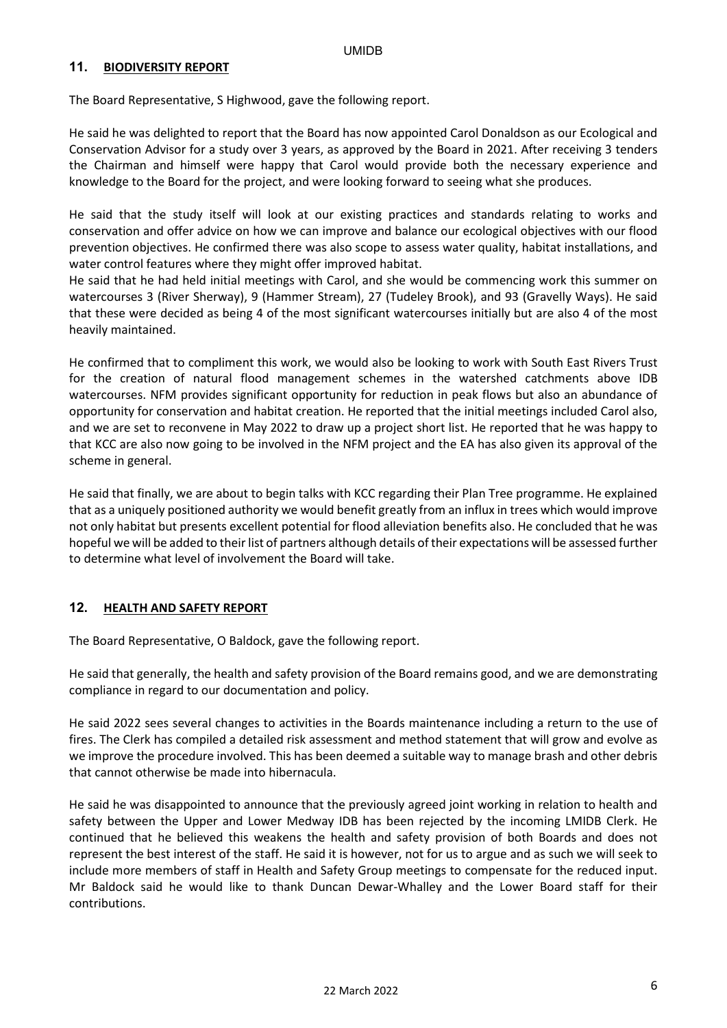### **11. BIODIVERSITY REPORT**

The Board Representative, S Highwood, gave the following report.

He said he was delighted to report that the Board has now appointed Carol Donaldson as our Ecological and Conservation Advisor for a study over 3 years, as approved by the Board in 2021. After receiving 3 tenders the Chairman and himself were happy that Carol would provide both the necessary experience and knowledge to the Board for the project, and were looking forward to seeing what she produces.

He said that the study itself will look at our existing practices and standards relating to works and conservation and offer advice on how we can improve and balance our ecological objectives with our flood prevention objectives. He confirmed there was also scope to assess water quality, habitat installations, and water control features where they might offer improved habitat.

He said that he had held initial meetings with Carol, and she would be commencing work this summer on watercourses 3 (River Sherway), 9 (Hammer Stream), 27 (Tudeley Brook), and 93 (Gravelly Ways). He said that these were decided as being 4 of the most significant watercourses initially but are also 4 of the most heavily maintained.

He confirmed that to compliment this work, we would also be looking to work with South East Rivers Trust for the creation of natural flood management schemes in the watershed catchments above IDB watercourses. NFM provides significant opportunity for reduction in peak flows but also an abundance of opportunity for conservation and habitat creation. He reported that the initial meetings included Carol also, and we are set to reconvene in May 2022 to draw up a project short list. He reported that he was happy to that KCC are also now going to be involved in the NFM project and the EA has also given its approval of the scheme in general.

He said that finally, we are about to begin talks with KCC regarding their Plan Tree programme. He explained that as a uniquely positioned authority we would benefit greatly from an influx in trees which would improve not only habitat but presents excellent potential for flood alleviation benefits also. He concluded that he was hopeful we will be added to their list of partners although details of their expectations will be assessed further to determine what level of involvement the Board will take.

### **12. HEALTH AND SAFETY REPORT**

The Board Representative, O Baldock, gave the following report.

He said that generally, the health and safety provision of the Board remains good, and we are demonstrating compliance in regard to our documentation and policy.

He said 2022 sees several changes to activities in the Boards maintenance including a return to the use of fires. The Clerk has compiled a detailed risk assessment and method statement that will grow and evolve as we improve the procedure involved. This has been deemed a suitable way to manage brash and other debris that cannot otherwise be made into hibernacula.

He said he was disappointed to announce that the previously agreed joint working in relation to health and safety between the Upper and Lower Medway IDB has been rejected by the incoming LMIDB Clerk. He continued that he believed this weakens the health and safety provision of both Boards and does not represent the best interest of the staff. He said it is however, not for us to argue and as such we will seek to include more members of staff in Health and Safety Group meetings to compensate for the reduced input. Mr Baldock said he would like to thank Duncan Dewar-Whalley and the Lower Board staff for their contributions.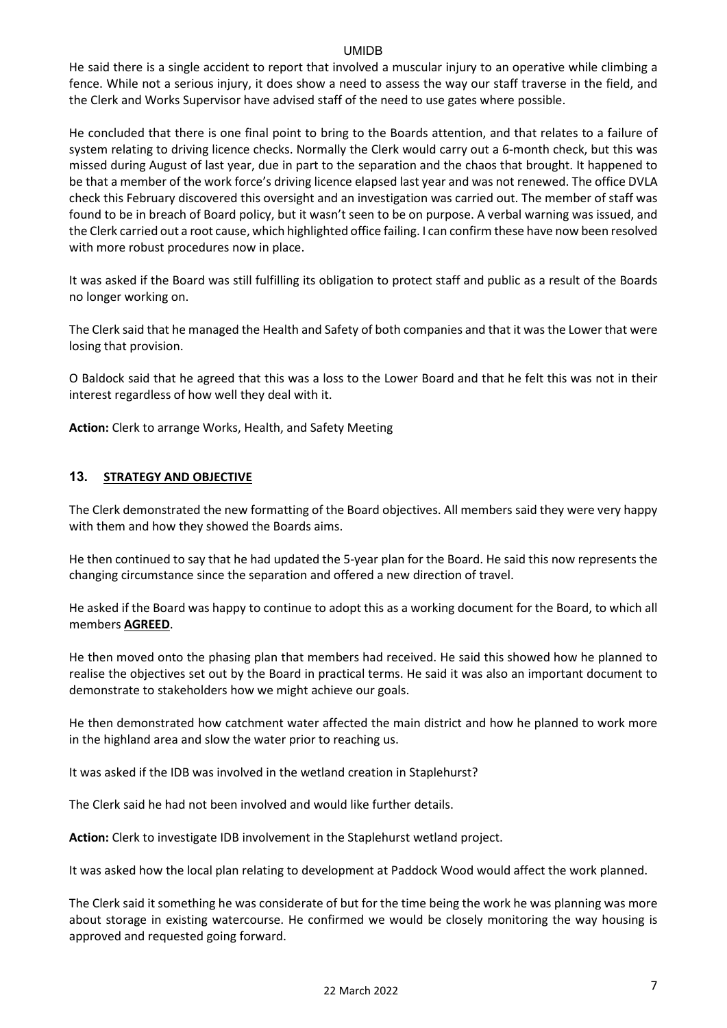He said there is a single accident to report that involved a muscular injury to an operative while climbing a fence. While not a serious injury, it does show a need to assess the way our staff traverse in the field, and the Clerk and Works Supervisor have advised staff of the need to use gates where possible.

He concluded that there is one final point to bring to the Boards attention, and that relates to a failure of system relating to driving licence checks. Normally the Clerk would carry out a 6-month check, but this was missed during August of last year, due in part to the separation and the chaos that brought. It happened to be that a member of the work force's driving licence elapsed last year and was not renewed. The office DVLA check this February discovered this oversight and an investigation was carried out. The member of staff was found to be in breach of Board policy, but it wasn't seen to be on purpose. A verbal warning was issued, and the Clerk carried out a root cause, which highlighted office failing. I can confirm these have now been resolved with more robust procedures now in place.

It was asked if the Board was still fulfilling its obligation to protect staff and public as a result of the Boards no longer working on.

The Clerk said that he managed the Health and Safety of both companies and that it was the Lower that were losing that provision.

O Baldock said that he agreed that this was a loss to the Lower Board and that he felt this was not in their interest regardless of how well they deal with it.

**Action:** Clerk to arrange Works, Health, and Safety Meeting

# **13. STRATEGY AND OBJECTIVE**

The Clerk demonstrated the new formatting of the Board objectives. All members said they were very happy with them and how they showed the Boards aims.

He then continued to say that he had updated the 5-year plan for the Board. He said this now represents the changing circumstance since the separation and offered a new direction of travel.

He asked if the Board was happy to continue to adopt this as a working document for the Board, to which all members **AGREED**.

He then moved onto the phasing plan that members had received. He said this showed how he planned to realise the objectives set out by the Board in practical terms. He said it was also an important document to demonstrate to stakeholders how we might achieve our goals.

He then demonstrated how catchment water affected the main district and how he planned to work more in the highland area and slow the water prior to reaching us.

It was asked if the IDB was involved in the wetland creation in Staplehurst?

The Clerk said he had not been involved and would like further details.

**Action:** Clerk to investigate IDB involvement in the Staplehurst wetland project.

It was asked how the local plan relating to development at Paddock Wood would affect the work planned.

The Clerk said it something he was considerate of but for the time being the work he was planning was more about storage in existing watercourse. He confirmed we would be closely monitoring the way housing is approved and requested going forward.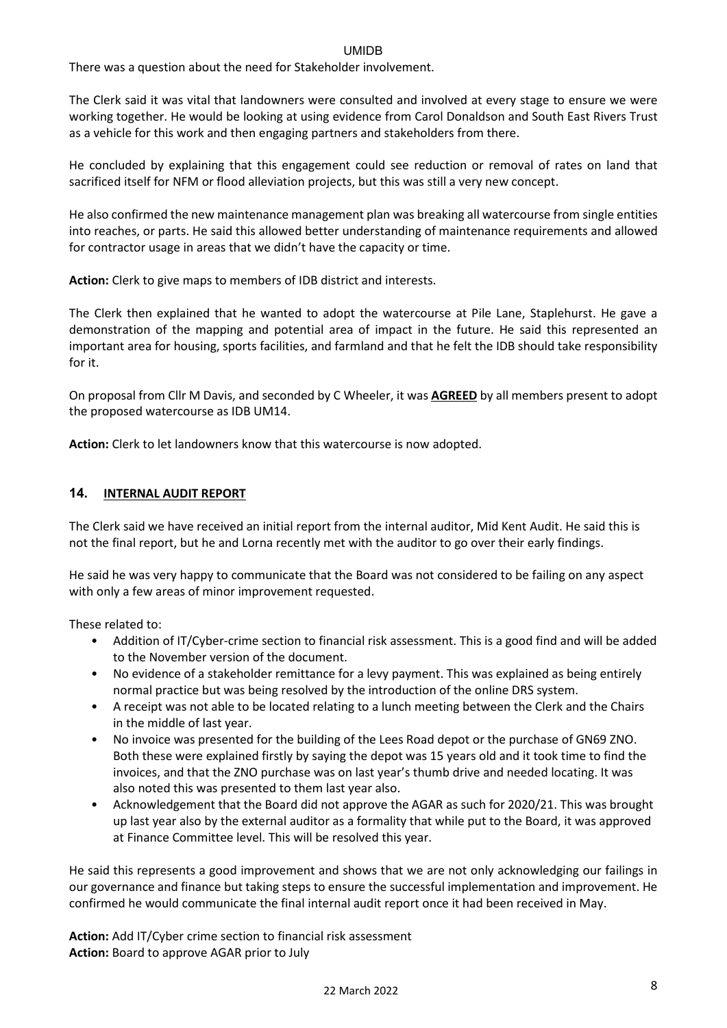There was a question about the need for Stakeholder involvement.

The Clerk said it was vital that landowners were consulted and involved at every stage to ensure we were working together. He would be looking at using evidence from Carol Donaldson and South East Rivers Trust as a vehicle for this work and then engaging partners and stakeholders from there.

He concluded by explaining that this engagement could see reduction or removal of rates on land that sacrificed itself for NFM or flood alleviation projects, but this was still a very new concept.

He also confirmed the new maintenance management plan was breaking all watercourse from single entities into reaches, or parts. He said this allowed better understanding of maintenance requirements and allowed for contractor usage in areas that we didn't have the capacity or time.

**Action:** Clerk to give maps to members of IDB district and interests.

The Clerk then explained that he wanted to adopt the watercourse at Pile Lane, Staplehurst. He gave a demonstration of the mapping and potential area of impact in the future. He said this represented an important area for housing, sports facilities, and farmland and that he felt the IDB should take responsibility for it.

On proposal from Cllr M Davis, and seconded by C Wheeler, it was **AGREED** by all members present to adopt the proposed watercourse as IDB UM14.

**Action:** Clerk to let landowners know that this watercourse is now adopted.

## **14. INTERNAL AUDIT REPORT**

The Clerk said we have received an initial report from the internal auditor, Mid Kent Audit. He said this is not the final report, but he and Lorna recently met with the auditor to go over their early findings.

He said he was very happy to communicate that the Board was not considered to be failing on any aspect with only a few areas of minor improvement requested.

These related to:

- Addition of IT/Cyber-crime section to financial risk assessment. This is a good find and will be added to the November version of the document.
- No evidence of a stakeholder remittance for a levy payment. This was explained as being entirely normal practice but was being resolved by the introduction of the online DRS system.
- A receipt was not able to be located relating to a lunch meeting between the Clerk and the Chairs in the middle of last year.
- No invoice was presented for the building of the Lees Road depot or the purchase of GN69 ZNO. Both these were explained firstly by saying the depot was 15 years old and it took time to find the invoices, and that the ZNO purchase was on last year's thumb drive and needed locating. It was also noted this was presented to them last year also.
- Acknowledgement that the Board did not approve the AGAR as such for 2020/21. This was brought up last year also by the external auditor as a formality that while put to the Board, it was approved at Finance Committee level. This will be resolved this year.

He said this represents a good improvement and shows that we are not only acknowledging our failings in our governance and finance but taking steps to ensure the successful implementation and improvement. He confirmed he would communicate the final internal audit report once it had been received in May.

**Action:** Add IT/Cyber crime section to financial risk assessment **Action:** Board to approve AGAR prior to July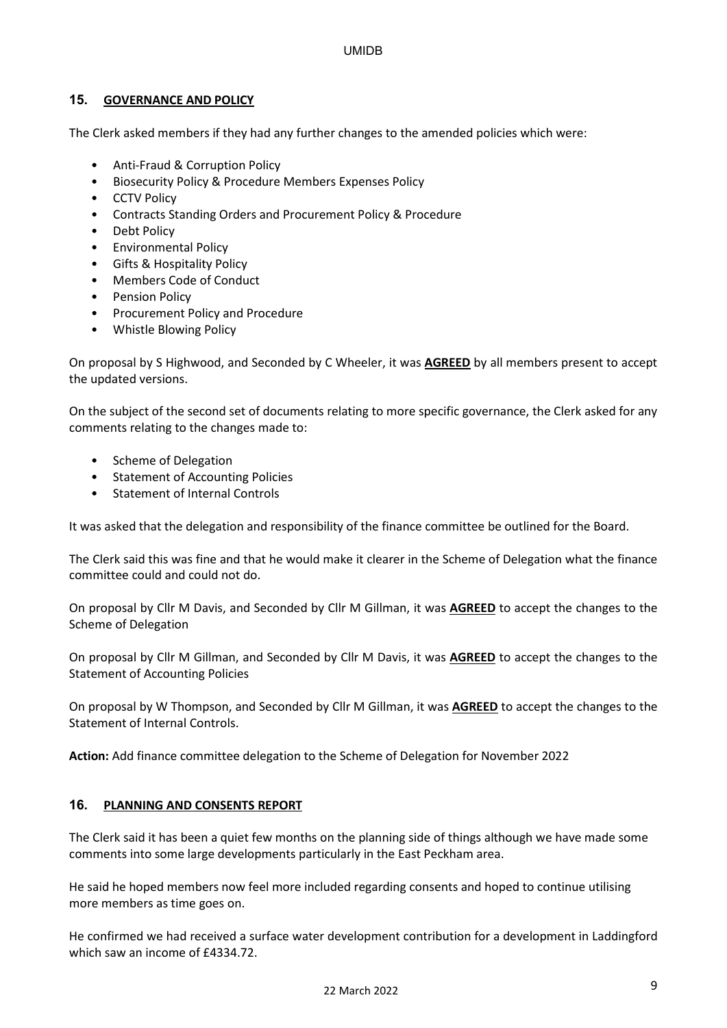## **15. GOVERNANCE AND POLICY**

The Clerk asked members if they had any further changes to the amended policies which were:

- Anti-Fraud & Corruption Policy
- Biosecurity Policy & Procedure Members Expenses Policy
- CCTV Policy
- Contracts Standing Orders and Procurement Policy & Procedure
- Debt Policy
- Environmental Policy
- Gifts & Hospitality Policy
- Members Code of Conduct
- Pension Policy
- Procurement Policy and Procedure
- Whistle Blowing Policy

On proposal by S Highwood, and Seconded by C Wheeler, it was **AGREED** by all members present to accept the updated versions.

On the subject of the second set of documents relating to more specific governance, the Clerk asked for any comments relating to the changes made to:

- Scheme of Delegation
- Statement of Accounting Policies
- Statement of Internal Controls

It was asked that the delegation and responsibility of the finance committee be outlined for the Board.

The Clerk said this was fine and that he would make it clearer in the Scheme of Delegation what the finance committee could and could not do.

On proposal by Cllr M Davis, and Seconded by Cllr M Gillman, it was **AGREED** to accept the changes to the Scheme of Delegation

On proposal by Cllr M Gillman, and Seconded by Cllr M Davis, it was **AGREED** to accept the changes to the Statement of Accounting Policies

On proposal by W Thompson, and Seconded by Cllr M Gillman, it was **AGREED** to accept the changes to the Statement of Internal Controls.

**Action:** Add finance committee delegation to the Scheme of Delegation for November 2022

### **16. PLANNING AND CONSENTS REPORT**

The Clerk said it has been a quiet few months on the planning side of things although we have made some comments into some large developments particularly in the East Peckham area.

He said he hoped members now feel more included regarding consents and hoped to continue utilising more members as time goes on.

He confirmed we had received a surface water development contribution for a development in Laddingford which saw an income of £4334.72.